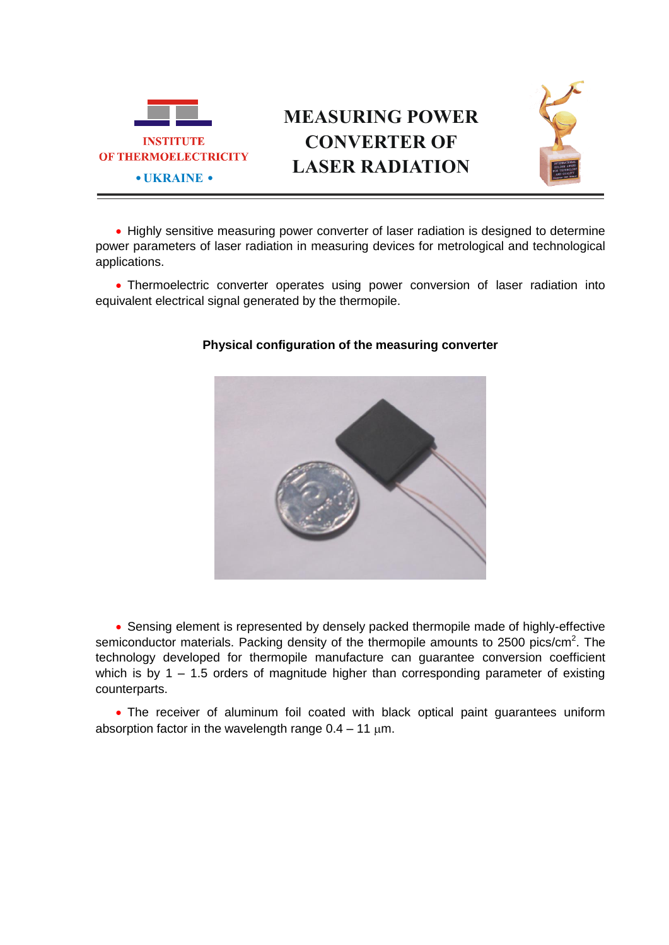

## **MEASURING POWER CONVERTER OF LASER RADIATION**



• Highly sensitive measuring power converter of laser radiation is designed to determine power parameters of laser radiation in measuring devices for metrological and technological applications.

 Thermoelectric converter operates using power conversion of laser radiation into equivalent electrical signal generated by the thermopile.



## **Physical configuration of the measuring converter**

 Sensing element is represented by densely packed thermopile made of highly-effective semiconductor materials. Packing density of the thermopile amounts to 2500 pics/cm<sup>2</sup>. The technology developed for thermopile manufacture can guarantee conversion coefficient which is by  $1 - 1.5$  orders of magnitude higher than corresponding parameter of existing counterparts.

 The receiver of aluminum foil coated with black optical paint guarantees uniform absorption factor in the wavelength range  $0.4 - 11 \mu m$ .